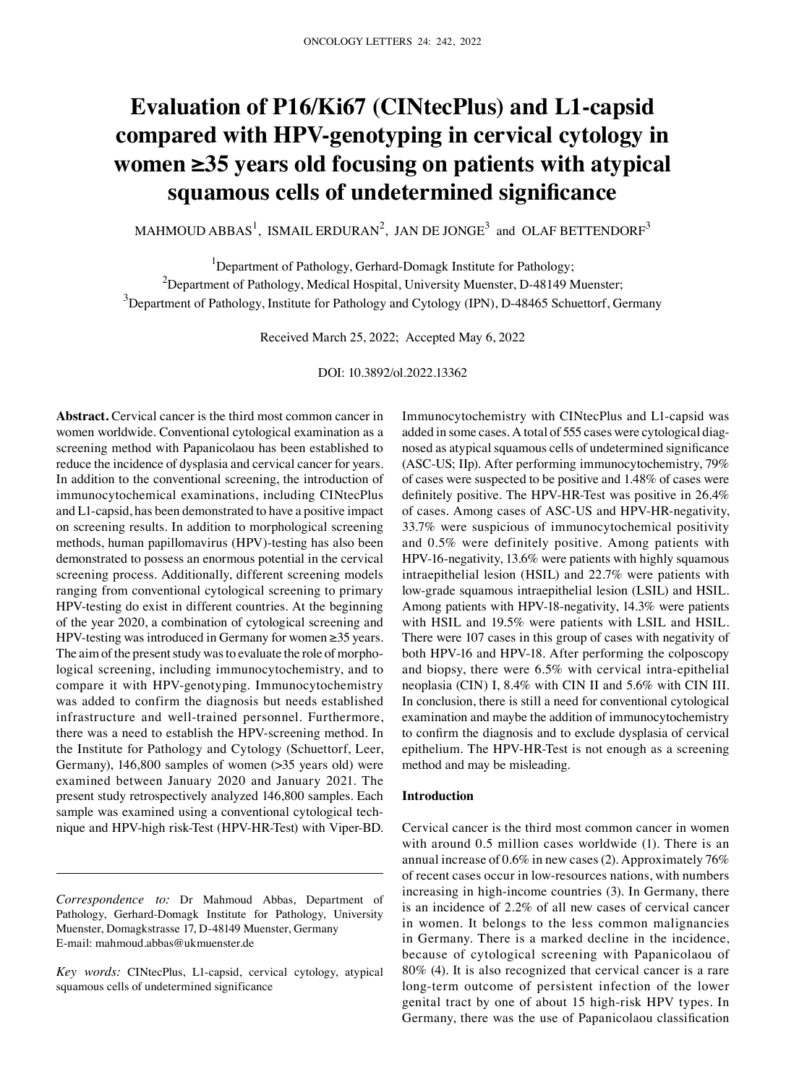# **Evaluation of P16/Ki67 (CINtecPlus) and L1‑capsid compared with HPV‑genotyping in cervical cytology in women ≥35 years old focusing on patients with atypical squamous cells of undetermined significance**

MAHMOUD ABBAS $^1$ , ISMAIL ERDURAN $^2$ , JAN DE JONGE $^3$  and OLAF BETTENDORF $^3$ 

<sup>1</sup>Department of Pathology, Gerhard-Domagk Institute for Pathology;  $^{2}$ Department of Pathology, Medical Hospital, University Muenster, D-48149 Muenster;  $^3$ Department of Pathology, Institute for Pathology and Cytology (IPN), D-48465 Schuettorf, Germany

Received March 25, 2022; Accepted May 6, 2022

DOI: 10.3892/ol.2022.13362

**Abstract.** Cervical cancer is the third most common cancer in women worldwide. Conventional cytological examination as a screening method with Papanicolaou has been established to reduce the incidence of dysplasia and cervical cancer for years. In addition to the conventional screening, the introduction of immunocytochemical examinations, including CINtecPlus and L1‑capsid, has been demonstrated to have a positive impact on screening results. In addition to morphological screening methods, human papillomavirus (HPV)‑testing has also been demonstrated to possess an enormous potential in the cervical screening process. Additionally, different screening models ranging from conventional cytological screening to primary HPV-testing do exist in different countries. At the beginning of the year 2020, a combination of cytological screening and HPV-testing was introduced in Germany for women  $\geq$ 35 years. The aim of the present study was to evaluate the role of morphological screening, including immunocytochemistry, and to compare it with HPV‑genotyping. Immunocytochemistry was added to confirm the diagnosis but needs established infrastructure and well-trained personnel. Furthermore, there was a need to establish the HPV‑screening method. In the Institute for Pathology and Cytology (Schuettorf, Leer, Germany), 146,800 samples of women (> 35 years old) were examined between January 2020 and January 2021. The present study retrospectively analyzed 146,800 samples. Each sample was examined using a conventional cytological technique and HPV‑high risk‑Test (HPV‑HR‑Test) with Viper‑BD. Immunocytochemistry with CINtecPlus and L1‑capsid was added in some cases. A total of 555 cases were cytological diagnosed as atypical squamous cells of undetermined significance (ASC‑US; IIp). After performing immunocytochemistry, 79% of cases were suspected to be positive and 1.48% of cases were definitely positive. The HPV-HR-Test was positive in 26.4% of cases. Among cases of ASC‑US and HPV‑HR‑negativity, 33.7% were suspicious of immunocytochemical positivity and 0.5% were definitely positive. Among patients with HPV-16-negativity, 13.6% were patients with highly squamous intraepithelial lesion (HSIL) and 22.7% were patients with low‑grade squamous intraepithelial lesion (LSIL) and HSIL. Among patients with HPV-18-negativity, 14.3% were patients with HSIL and 19.5% were patients with LSIL and HSIL. There were 107 cases in this group of cases with negativity of both HPV‑16 and HPV‑18. After performing the colposcopy and biopsy, there were 6.5% with cervical intra‑epithelial neoplasia (CIN) I, 8.4% with CIN II and 5.6% with CIN III. In conclusion, there is still a need for conventional cytological examination and maybe the addition of immunocytochemistry to confirm the diagnosis and to exclude dysplasia of cervical epithelium. The HPV‑HR‑Test is not enough as a screening method and may be misleading.

# **Introduction**

Cervical cancer is the third most common cancer in women with around 0.5 million cases worldwide (1). There is an annual increase of 0.6% in new cases(2). Approximately 76% of recent cases occur in low‑resources nations, with numbers increasing in high-income countries (3). In Germany, there is an incidence of 2.2% of all new cases of cervical cancer in women. It belongs to the less common malignancies in Germany. There is a marked decline in the incidence, because of cytological screening with Papanicolaou of 80% (4). It is also recognized that cervical cancer is a rare long‑term outcome of persistent infection of the lower genital tract by one of about 15 high-risk HPV types. In Germany, there was the use of Papanicolaou classification

*Correspondence to:* Dr Mahmoud Abbas, Department of Pathology, Gerhard‑Domagk Institute for Pathology, University Muenster, Domagkstrasse 17, D-48149 Muenster, Germany E‑mail: mahmoud.abbas@ukmuenster.de

*Key words:* CINtecPlus, L1‑capsid, cervical cytology, atypical squamous cells of undetermined significance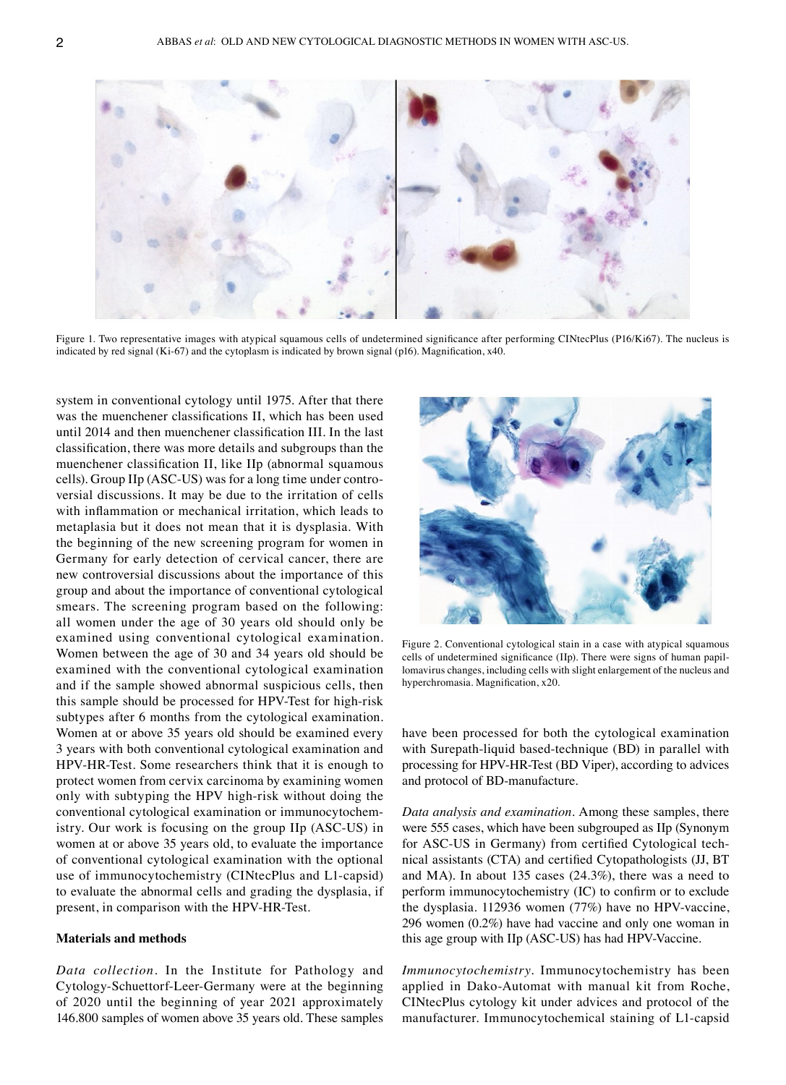

Figure 1. Two representative images with atypical squamous cells of undetermined significance after performing CINtecPlus (P16/Ki67). The nucleus is indicated by red signal (Ki-67) and the cytoplasm is indicated by brown signal (p16). Magnification,  $x40$ .

system in conventional cytology until 1975. After that there was the muenchener classifications II, which has been used until 2014 and then muenchener classification III. In the last classification, there was more details and subgroups than the muenchener classification II, like IIp (abnormal squamous cells). Group IIp (ASC-US) was for a long time under controversial discussions. It may be due to the irritation of cells with inflammation or mechanical irritation, which leads to metaplasia but it does not mean that it is dysplasia. With the beginning of the new screening program for women in Germany for early detection of cervical cancer, there are new controversial discussions about the importance of this group and about the importance of conventional cytological smears. The screening program based on the following: all women under the age of 30 years old should only be examined using conventional cytological examination. Women between the age of 30 and 34 years old should be examined with the conventional cytological examination and if the sample showed abnormal suspicious cells, then this sample should be processed for HPV-Test for high-risk subtypes after 6 months from the cytological examination. Women at or above 35 years old should be examined every 3 years with both conventional cytological examination and HPV-HR-Test. Some researchers think that it is enough to protect women from cervix carcinoma by examining women only with subtyping the HPV high-risk without doing the conventional cytological examination or immunocytochemistry. Our work is focusing on the group IIp (ASC‑US) in women at or above 35 years old, to evaluate the importance of conventional cytological examination with the optional use of immunocytochemistry (CINtecPlus and L1-capsid) to evaluate the abnormal cells and grading the dysplasia, if present, in comparison with the HPV‑HR‑Test.

## **Materials and methods**

*Data collection.* In the Institute for Pathology and Cytology‑Schuettorf‑Leer‑Germany were at the beginning of 2020 until the beginning of year 2021 approximately 146.800 samples of women above 35 years old. These samples



Figure 2. Conventional cytological stain in a case with atypical squamous cells of undetermined significance (IIp). There were signs of human papillomavirus changes, including cells with slight enlargement of the nucleus and hyperchromasia. Magnification, x20.

have been processed for both the cytological examination with Surepath-liquid based-technique (BD) in parallel with processing for HPV‑HR‑Test (BD Viper), according to advices and protocol of BD‑manufacture.

*Data analysis and examination.* Among these samples, there were 555 cases, which have been subgrouped as IIp (Synonym for ASC-US in Germany) from certified Cytological technical assistants (CTA) and certified Cytopathologists (JJ, BT and MA). In about 135 cases (24.3%), there was a need to perform immunocytochemistry (IC) to confirm or to exclude the dysplasia. 112936 women (77%) have no HPV-vaccine, 296 women (0.2%) have had vaccine and only one woman in this age group with IIp (ASC‑US) has had HPV‑Vaccine.

*Immunocytochemistry.* Immunocytochemistry has been applied in Dako‑Automat with manual kit from Roche, CINtecPlus cytology kit under advices and protocol of the manufacturer. Immunocytochemical staining of L1‑capsid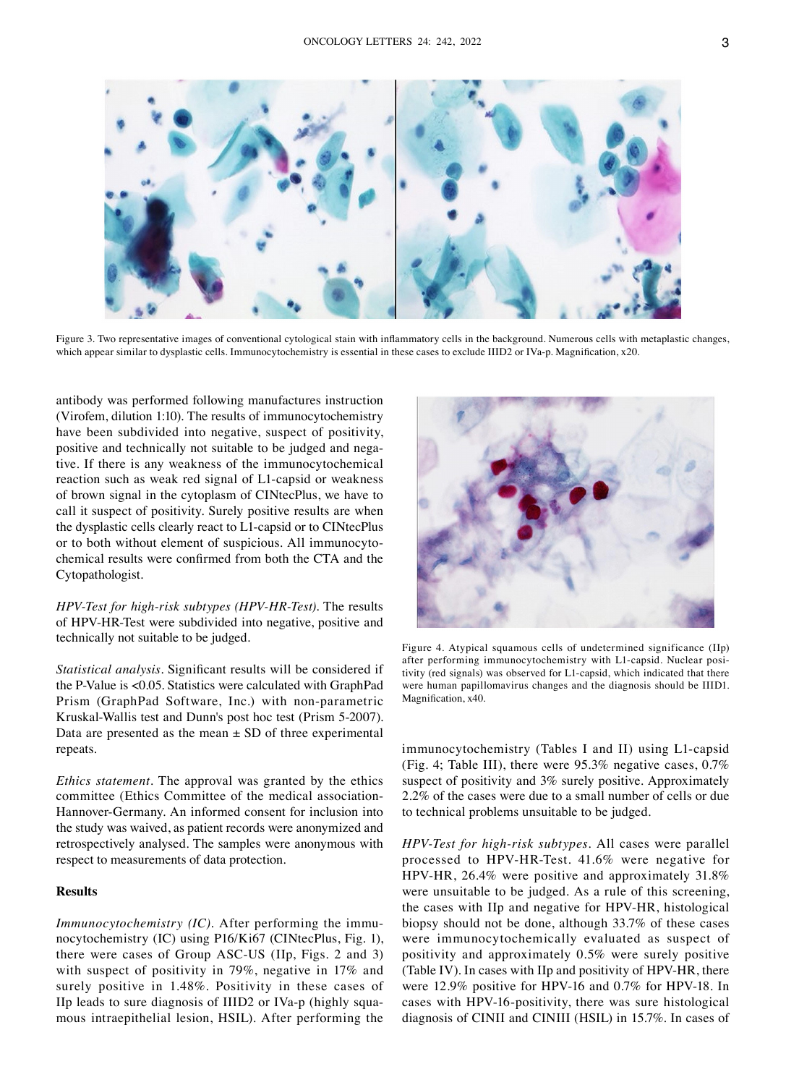

Figure 3. Two representative images of conventional cytological stain with inflammatory cells in the background. Numerous cells with metaplastic changes, which appear similar to dysplastic cells. Immunocytochemistry is essential in these cases to exclude IIID2 or IVa-p. Magnification, x20.

antibody was performed following manufactures instruction (Virofem, dilution 1:10). The results of immunocytochemistry have been subdivided into negative, suspect of positivity, positive and technically not suitable to be judged and negative. If there is any weakness of the immunocytochemical reaction such as weak red signal of L1‑capsid or weakness of brown signal in the cytoplasm of CINtecPlus, we have to call it suspect of positivity. Surely positive results are when the dysplastic cells clearly react to L1‑capsid or to CINtecPlus or to both without element of suspicious. All immunocytochemical results were confirmed from both the CTA and the Cytopathologist.

*HPV‑Test for high‑risk subtypes (HPV‑HR‑Test).* The results of HPV‑HR‑Test were subdivided into negative, positive and technically not suitable to be judged.

*Statistical analysis.* Significant results will be considered if the P‑Value is <0.05. Statistics were calculated with GraphPad Prism (GraphPad Software, Inc.) with non‑parametric Kruskal‑Wallis test and Dunn's post hoc test (Prism 5‑2007). Data are presented as the mean  $\pm$  SD of three experimental repeats.

*Ethics statement.* The approval was granted by the ethics committee (Ethics Committee of the medical association-Hannover‑Germany. An informed consent for inclusion into the study was waived, as patient records were anonymized and retrospectively analysed. The samples were anonymous with respect to measurements of data protection.

# **Results**

*Immunocytochemistry (IC)*. After performing the immunocytochemistry (IC) using P16/Ki67 (CINtecPlus, Fig. 1), there were cases of Group ASC‑US (IIp, Figs. 2 and 3) with suspect of positivity in 79%, negative in 17% and surely positive in 1.48%. Positivity in these cases of IIp leads to sure diagnosis of IIID2 or IVa-p (highly squamous intraepithelial lesion, HSIL). After performing the



Figure 4. Atypical squamous cells of undetermined significance (IIp) after performing immunocytochemistry with L1-capsid. Nuclear positivity (red signals) was observed for L1‑capsid, which indicated that there were human papillomavirus changes and the diagnosis should be IIID1. Magnification, x40.

immunocytochemistry (Tables I and II) using L1-capsid (Fig. 4; Table III), there were 95.3% negative cases, 0.7% suspect of positivity and 3% surely positive. Approximately 2.2% of the cases were due to a small number of cells or due to technical problems unsuitable to be judged.

*HPV‑Test for high‑risk subtypes.* All cases were parallel processed to HPV‑HR‑Test. 41.6% were negative for HPV‑HR, 26.4% were positive and approximately 31.8% were unsuitable to be judged. As a rule of this screening, the cases with IIp and negative for HPV‑HR, histological biopsy should not be done, although 33.7% of these cases were immunocytochemically evaluated as suspect of positivity and approximately 0.5% were surely positive (Table IV). In cases with IIp and positivity of HPV‑HR, there were 12.9% positive for HPV-16 and 0.7% for HPV-18. In cases with HPV‑16‑positivity, there was sure histological diagnosis of CINII and CINIII (HSIL) in 15.7%. In cases of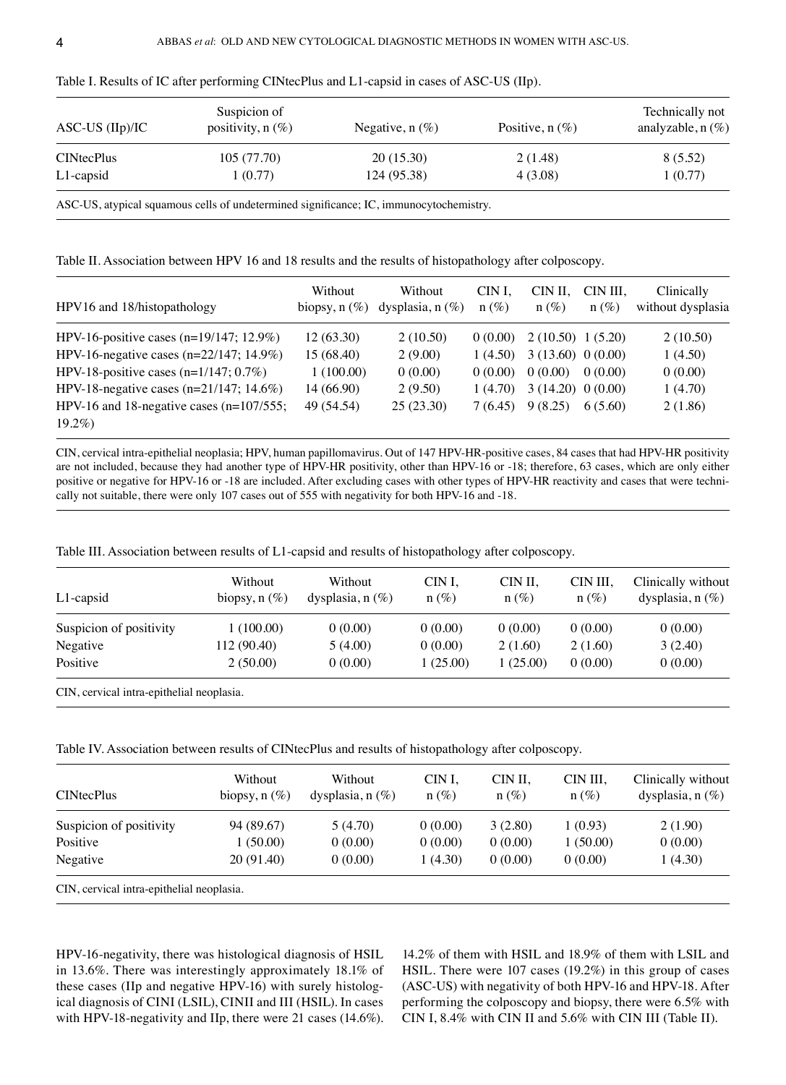| $ASC-US (IIp)/IC$ | Suspicion of<br>positivity, $n(\%)$ | Negative, $n(\%)$ | Positive, $n(\%)$ | Technically not<br>analyzable, $n(\%)$ |  |
|-------------------|-------------------------------------|-------------------|-------------------|----------------------------------------|--|
| <b>CINtecPlus</b> | 105(77.70)                          | 20(15.30)         | 2(1.48)           | 8 (5.52)                               |  |
| L1-capsid         | 1(0.77)                             | 124 (95.38)       | 4 (3.08)          | 1(0.77)                                |  |

Table I. Results of IC after performing CINtecPlus and L1-capsid in cases of ASC-US (IIp).

ASC-US, atypical squamous cells of undetermined significance; IC, immunocytochemistry.

Table II. Association between HPV 16 and 18 results and the results of histopathology after colposcopy.

| HPV16 and 18/histopathology                  | Without<br>biopsy, $n(\%)$ | Without<br>dysplasia, $n$ $(\%)$ | CIN I.<br>$n(\%)$ | CIN II.<br>$n(\%)$    | CIN III.<br>$n(\%)$ | Clinically<br>without dysplasia |
|----------------------------------------------|----------------------------|----------------------------------|-------------------|-----------------------|---------------------|---------------------------------|
| HPV-16-positive cases (n=19/147; 12.9%)      | 12(63.30)                  | 2(10.50)                         | 0(0.00)           | 2(10.50) 1(5.20)      |                     | 2(10.50)                        |
| HPV-16-negative cases (n= $22/147$ ; 14.9%)  | 15(68.40)                  | 2(9.00)                          | 1(4.50)           | 3(13.60) 0(0.00)      |                     | 1(4.50)                         |
| HPV-18-positive cases $(n=1/147; 0.7\%)$     | 1(100.00)                  | 0(0.00)                          | 0(0.00)           | 0(0.00)               | 0(0.00)             | 0(0.00)                         |
| HPV-18-negative cases (n= $21/147$ ; 14.6%)  | 14(66.90)                  | 2(9.50)                          | 1(4.70)           | $3(14.20)$ 0 $(0.00)$ |                     | 1(4.70)                         |
| HPV-16 and 18-negative cases $(n=107/555)$ ; | 49 (54.54)                 | 25(23.30)                        | 7 (6.45)          | 9(8.25)               | 6(5.60)             | 2(1.86)                         |
| $19.2\%$                                     |                            |                                  |                   |                       |                     |                                 |

CIN, cervical intra‑epithelial neoplasia; HPV, human papillomavirus. Out of 147 HPV‑HR‑positive cases, 84 cases that had HPV‑HR positivity are not included, because they had another type of HPV-HR positivity, other than HPV-16 or -18; therefore, 63 cases, which are only either positive or negative for HPV-16 or -18 are included. After excluding cases with other types of HPV-HR reactivity and cases that were technically not suitable, there were only 107 cases out of 555 with negativity for both HPV-16 and -18.

Table III. Association between results of L1–capsid and results of histopathology after colposcopy.

| $L1$ -capsid            | Without<br>biopsy, $n(\%)$ | Without<br>dysplasia, $n(\%)$ | CIN I.<br>$n(\%)$ | CIN II.<br>$n(\%)$ | CIN III.<br>$n(\%)$ | Clinically without<br>dysplasia, $n(\%)$ |
|-------------------------|----------------------------|-------------------------------|-------------------|--------------------|---------------------|------------------------------------------|
| Suspicion of positivity | 1(100.00)                  | 0(0.00)                       | 0(0.00)           | 0(0.00)            | 0(0.00)             | 0(0.00)                                  |
| Negative                | 112 (90.40)                | 5(4.00)                       | 0(0.00)           | 2(1.60)            | 2(1.60)             | 3(2.40)                                  |
| Positive                | 2(50.00)                   | 0(0.00)                       | 1(25.00)          | 1(25.00)           | 0(0.00)             | 0(0.00)                                  |

CIN, cervical intra‑epithelial neoplasia.

| Table IV. Association between results of CINtecPlus and results of histopathology after colposcopy. |  |  |
|-----------------------------------------------------------------------------------------------------|--|--|
|-----------------------------------------------------------------------------------------------------|--|--|

| <b>CINtecPlus</b>                         | Without<br>biopsy, $n$ $(\%)$ | Without<br>dysplasia, $n(\%)$ | CIN I.<br>$n(\%)$ | CIN II,<br>$n(\%)$ | CIN III.<br>$n(\%)$ | Clinically without<br>dysplasia, $n$ $(\%)$ |
|-------------------------------------------|-------------------------------|-------------------------------|-------------------|--------------------|---------------------|---------------------------------------------|
| Suspicion of positivity                   | 94 (89.67)                    | 5 (4.70)                      | 0(0.00)           | 3(2.80)            | 1(0.93)             | 2(1.90)                                     |
| Positive                                  | 1(50.00)                      | 0(0.00)                       | 0(0.00)           | 0(0.00)            | 1(50.00)            | 0(0.00)                                     |
| Negative                                  | 20 (91.40)                    | 0(0.00)                       | 1(4.30)           | 0(0.00)            | 0(0.00)             | 1(4.30)                                     |
| CIN, cervical intra-epithelial neoplasia. |                               |                               |                   |                    |                     |                                             |

HPV‑16‑negativity, there was histological diagnosis of HSIL in 13.6%. There was interestingly approximately 18.1% of these cases (IIp and negative HPV-16) with surely histological diagnosis of CINI (LSIL), CINII and III (HSIL). In cases with HPV-18-negativity and IIp, there were 21 cases (14.6%).

14.2% of them with HSIL and 18.9% of them with LSIL and HSIL. There were 107 cases (19.2%) in this group of cases (ASC‑US) with negativity of both HPV‑16 and HPV‑18. After performing the colposcopy and biopsy, there were 6.5% with CIN I, 8.4% with CIN II and 5.6% with CIN III (Table II).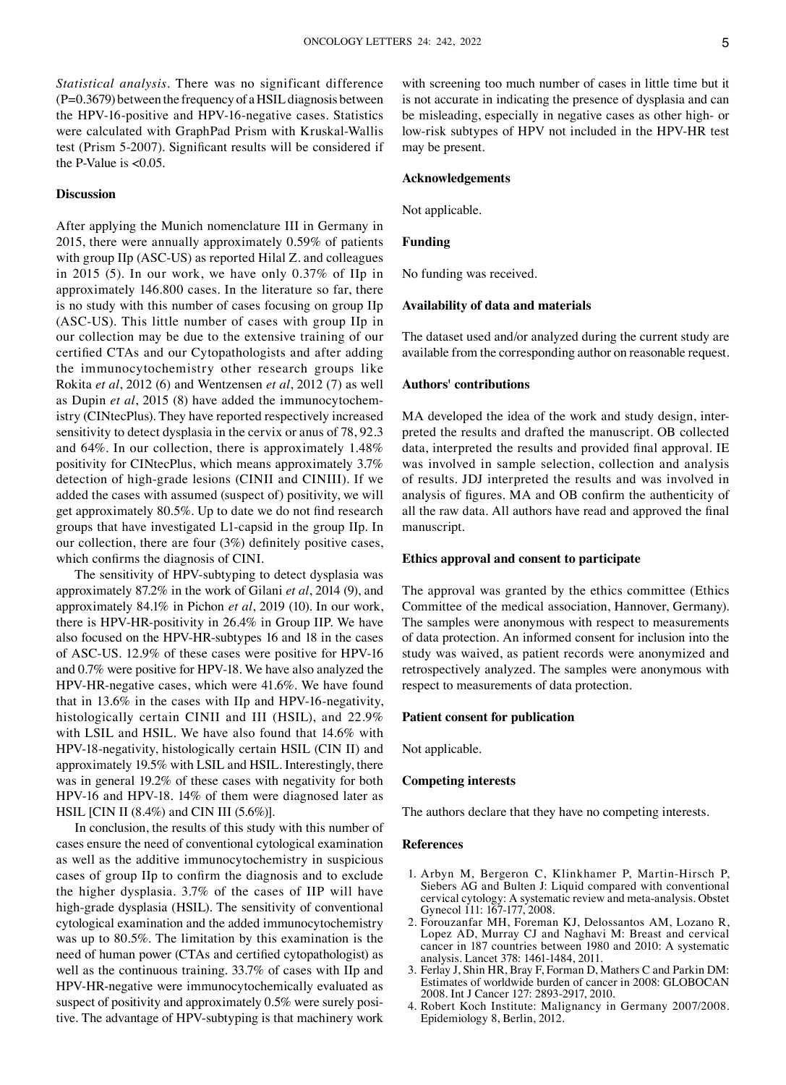*Statistical analysis.* There was no significant difference  $(P=0.3679)$  between the frequency of a HSIL diagnosis between the HPV-16-positive and HPV-16-negative cases. Statistics were calculated with GraphPad Prism with Kruskal-Wallis test (Prism 5‑2007). Significant results will be considered if the P-Value is  $<0.05$ .

# **Discussion**

After applying the Munich nomenclature III in Germany in 2015, there were annually approximately 0.59% of patients with group IIp (ASC-US) as reported Hilal Z. and colleagues in 2015 (5). In our work, we have only 0.37% of IIp in approximately 146.800 cases. In the literature so far, there is no study with this number of cases focusing on group IIp (ASC‑US). This little number of cases with group IIp in our collection may be due to the extensive training of our certified CTAs and our Cytopathologists and after adding the immunocytochemistry other research groups like Rokita *et al*, 2012 (6) and Wentzensen *et al*, 2012 (7) as well as Dupin *et al*, 2015 (8) have added the immunocytochemistry (CINtecPlus). They have reported respectively increased sensitivity to detect dysplasia in the cervix or anus of 78, 92.3 and 64%. In our collection, there is approximately 1.48% positivity for CINtecPlus, which means approximately 3.7% detection of high-grade lesions (CINII and CINIII). If we added the cases with assumed (suspect of) positivity, we will get approximately 80.5%. Up to date we do not find research groups that have investigated L1‑capsid in the group IIp. In our collection, there are four (3%) definitely positive cases, which confirms the diagnosis of CINI.

The sensitivity of HPV-subtyping to detect dysplasia was approximately 87.2% in the work of Gilani *et al*, 2014 (9), and approximately 84.1% in Pichon *et al*, 2019 (10). In our work, there is HPV-HR-positivity in 26.4% in Group IIP. We have also focused on the HPV‑HR‑subtypes 16 and 18 in the cases of ASC‑US. 12.9% of these cases were positive for HPV‑16 and 0.7% were positive for HPV‑18. We have also analyzed the HPV-HR-negative cases, which were 41.6%. We have found that in  $13.6\%$  in the cases with IIp and HPV-16-negativity, histologically certain CINII and III (HSIL), and 22.9% with LSIL and HSIL. We have also found that 14.6% with HPV-18-negativity, histologically certain HSIL (CIN II) and approximately 19.5% with LSIL and HSIL. Interestingly, there was in general 19.2% of these cases with negativity for both HPV‑16 and HPV‑18. 14% of them were diagnosed later as HSIL [CIN II (8.4%) and CIN III (5.6%)].

In conclusion, the results of this study with this number of cases ensure the need of conventional cytological examination as well as the additive immunocytochemistry in suspicious cases of group IIp to confirm the diagnosis and to exclude the higher dysplasia. 3.7% of the cases of IIP will have high-grade dysplasia (HSIL). The sensitivity of conventional cytological examination and the added immunocytochemistry was up to 80.5%. The limitation by this examination is the need of human power (CTAs and certified cytopathologist) as well as the continuous training. 33.7% of cases with IIp and HPV‑HR‑negative were immunocytochemically evaluated as suspect of positivity and approximately  $0.5\%$  were surely positive. The advantage of HPV‑subtyping is that machinery work

with screening too much number of cases in little time but it is not accurate in indicating the presence of dysplasia and can be misleading, especially in negative cases as other high- or low-risk subtypes of HPV not included in the HPV-HR test may be present.

#### **Acknowledgements**

Not applicable.

# **Funding**

No funding was received.

## **Availability of data and materials**

The dataset used and/or analyzed during the current study are available from the corresponding author on reasonable request.

## **Authors' contributions**

MA developed the idea of the work and study design, interpreted the results and drafted the manuscript. OB collected data, interpreted the results and provided final approval. IE was involved in sample selection, collection and analysis of results. JDJ interpreted the results and was involved in analysis of figures. MA and OB confirm the authenticity of all the raw data. All authors have read and approved the final manuscript.

#### **Ethics approval and consent to participate**

The approval was granted by the ethics committee (Ethics Committee of the medical association, Hannover, Germany). The samples were anonymous with respect to measurements of data protection. An informed consent for inclusion into the study was waived, as patient records were anonymized and retrospectively analyzed. The samples were anonymous with respect to measurements of data protection.

### **Patient consent for publication**

Not applicable.

#### **Competing interests**

The authors declare that they have no competing interests.

#### **References**

- 1. Arbyn M, Bergeron C, Klinkhamer P, Martin‑Hirsch P, Siebers AG and Bulten J: Liquid compared with conventional cervical cytology: A systematic review and meta‑analysis. Obstet Gynecol 111: 167-177, 2008.
- 2. Forouzanfar MH, Foreman KJ, Delossantos AM, Lozano R, Lopez AD, Murray CJ and Naghavi M: Breast and cervical cancer in 187 countries between 1980 and 2010: A systematic analysis. Lancet 378: 1461‑1484, 2011.
- 3. Ferlay J, Shin HR, Bray F, Forman D, Mathers C and Parkin DM: Estimates of worldwide burden of cancer in 2008: GLOBOCAN 2008. Int J Cancer 127: 2893‑2917, 2010.
- 4. Robert Koch Institute: Malignancy in Germany 2007/2008. Epidemiology 8, Berlin, 2012.